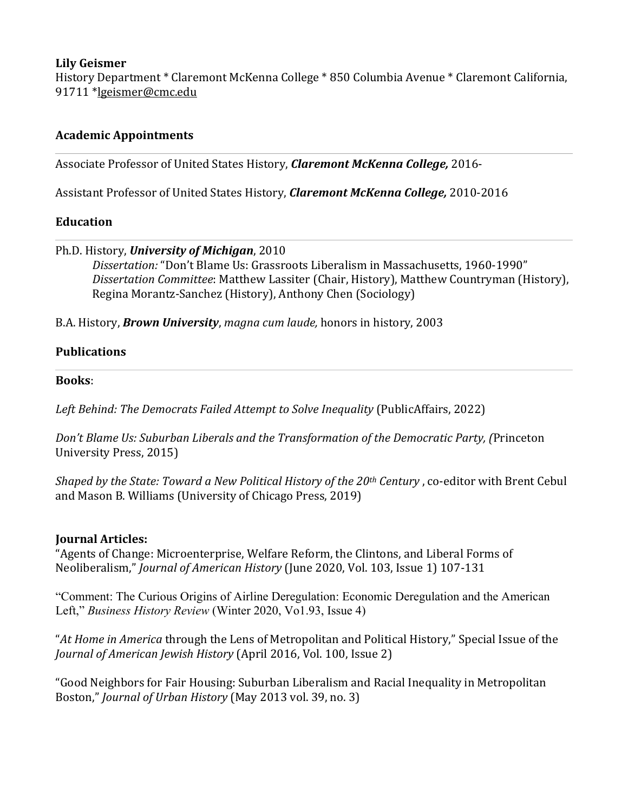### **Lily Geismer**

History Department \* Claremont McKenna College \* 850 Columbia Avenue \* Claremont California, 91711 \*lgeismer@cmc.edu

# **Academic Appointments**

Associate Professor of United States History, *Claremont McKenna College*, 2016-

Assistant Professor of United States History, *Claremont McKenna College*, 2010-2016

### **Education**

### Ph.D. History, *University of Michigan*, 2010

*Dissertation:* "Don't Blame Us: Grassroots Liberalism in Massachusetts, 1960-1990" Dissertation Committee: Matthew Lassiter (Chair, History), Matthew Countryman (History), Regina Morantz-Sanchez (History), Anthony Chen (Sociology)

B.A. History, **Brown University**, magna cum laude, honors in history, 2003

### **Publications**

### **Books**:

Left Behind: The Democrats Failed Attempt to Solve Inequality (PublicAffairs, 2022)

*Don't Blame Us: Suburban Liberals and the Transformation of the Democratic Party, (Princeton*) University Press, 2015)

*Shaped by the State: Toward a New Political History of the 20<sup>th</sup> Century*, co-editor with Brent Cebul and Mason B. Williams (University of Chicago Press, 2019)

# **Journal Articles:**

"Agents of Change: Microenterprise, Welfare Reform, the Clintons, and Liberal Forms of Neoliberalism," *Journal of American History* (June 2020, Vol. 103, Issue 1) 107-131

"Comment: The Curious Origins of Airline Deregulation: Economic Deregulation and the American Left," *Business History Review* (Winter 2020, Vo1.93, Issue 4)

"At *Home in America* through the Lens of Metropolitan and Political History," Special Issue of the Journal of American Jewish History (April 2016, Vol. 100, Issue 2)

"Good Neighbors for Fair Housing: Suburban Liberalism and Racial Inequality in Metropolitan Boston," *Journal of Urban History* (May 2013 vol. 39, no. 3)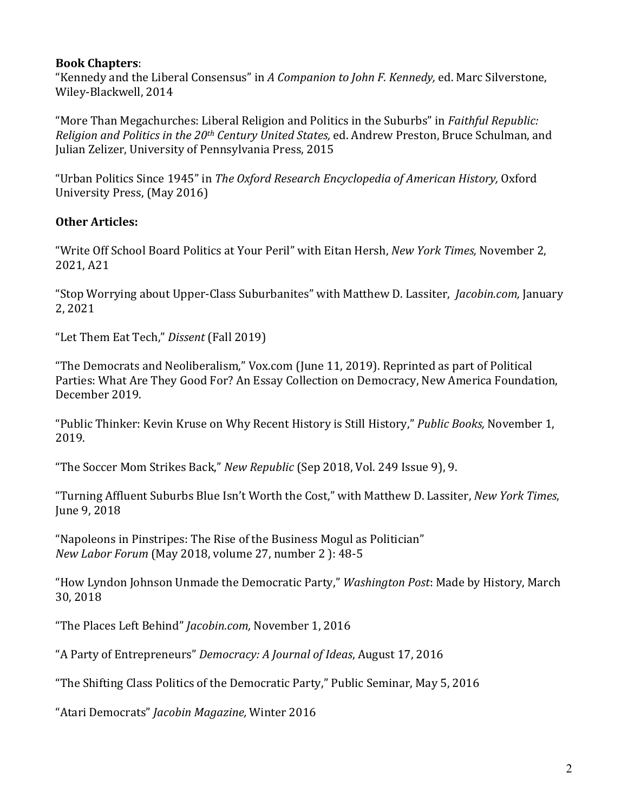### **Book Chapters**:

"Kennedy and the Liberal Consensus" in *A Companion to John F. Kennedy*, ed. Marc Silverstone, Wiley-Blackwell, 2014

"More Than Megachurches: Liberal Religion and Politics in the Suburbs" in *Faithful Republic: Religion and Politics in the 20<sup>th</sup> Century United States, ed. Andrew Preston, Bruce Schulman, and* Julian Zelizer, University of Pennsylvania Press, 2015

"Urban Politics Since 1945" in *The Oxford Research Encyclopedia of American History*, Oxford University Press, (May 2016)

# **Other Articles:**

"Write Off School Board Politics at Your Peril" with Eitan Hersh, *New York Times*, November 2, 2021, A21

"Stop Worrying about Upper-Class Suburbanites" with Matthew D. Lassiter, *Jacobin.com*, January 2, 2021

"Let Them Eat Tech," *Dissent* (Fall 2019)

"The Democrats and Neoliberalism," Vox.com (June 11, 2019). Reprinted as part of Political Parties: What Are They Good For? An Essay Collection on Democracy, New America Foundation, December 2019.

"Public Thinker: Kevin Kruse on Why Recent History is Still History," *Public Books*, November 1, 2019. 

"The Soccer Mom Strikes Back," *New Republic* (Sep 2018, Vol. 249 Issue 9), 9.

"Turning Affluent Suburbs Blue Isn't Worth the Cost," with Matthew D. Lassiter, *New York Times*, June 9, 2018

"Napoleons in Pinstripes: The Rise of the Business Mogul as Politician" *New Labor Forum* (May 2018, volume 27, number 2 ): 48-5

"How Lyndon Johnson Unmade the Democratic Party," Washington Post: Made by History, March 30, 2018

"The Places Left Behind" *Jacobin.com*, November 1, 2016

"A Party of Entrepreneurs" *Democracy: A Journal of Ideas*, August 17, 2016

"The Shifting Class Politics of the Democratic Party," Public Seminar, May 5, 2016

"Atari Democrats" *Jacobin Magazine,* Winter 2016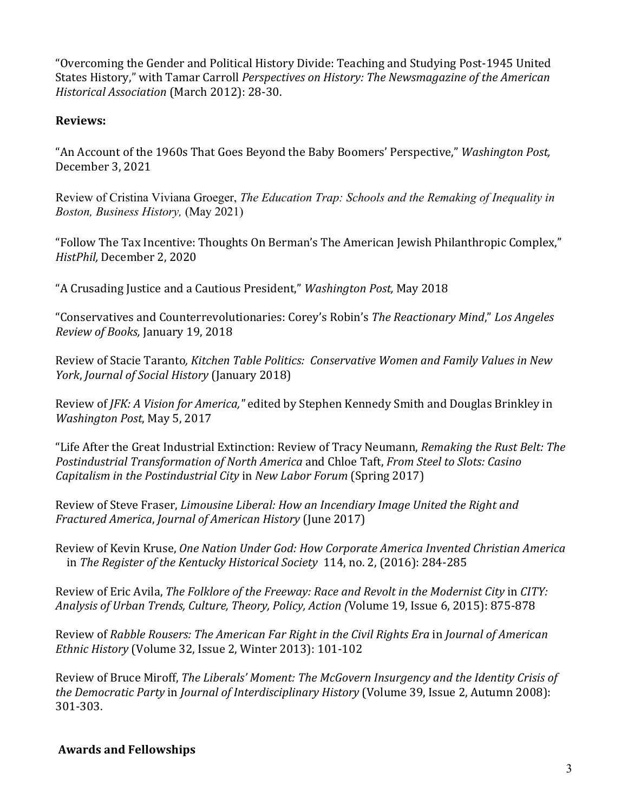"Overcoming the Gender and Political History Divide: Teaching and Studying Post-1945 United States History," with Tamar Carroll *Perspectives* on History: The Newsmagazine of the American *Historical Association* (March 2012): 28-30.

### **Reviews:**

"An Account of the 1960s That Goes Beyond the Baby Boomers' Perspective," *Washington Post,* December 3, 2021

Review of Cristina Viviana Groeger, *The Education Trap: Schools and the Remaking of Inequality in Boston, Business History,* (May 2021)

"Follow The Tax Incentive: Thoughts On Berman's The American Jewish Philanthropic Complex," *HistPhil, December 2, 2020* 

"A Crusading Justice and a Cautious President," *Washington Post*, May 2018

"Conservatives and Counterrevolutionaries: Corey's Robin's *The Reactionary Mind*," Los Angeles *Review of Books,* January 19, 2018 

Review of Stacie Taranto, Kitchen Table Politics: Conservative Women and Family Values in New *York, Journal of Social History* (January 2018)

Review of *JFK: A Vision for America,"* edited by Stephen Kennedy Smith and Douglas Brinkley in *Washington Post, May 5, 2017* 

"Life After the Great Industrial Extinction: Review of Tracy Neumann, *Remaking the Rust Belt: The Postindustrial Transformation of North America* and Chloe Taft, *From Steel to Slots: Casino Capitalism in the Postindustrial City* in *New Labor Forum* (Spring 2017)

Review of Steve Fraser, *Limousine Liberal: How an Incendiary Image United the Right and Fractured America, Journal of American History* (June 2017)

Review of Kevin Kruse, *One Nation Under God: How Corporate America Invented Christian America* in *The Register of the Kentucky Historical Society* 114, no. 2, (2016): 284-285

Review of Eric Avila, *The Folklore of the Freeway: Race and Revolt in the Modernist City* in *CITY:* Analysis of Urban Trends, Culture, Theory, Policy, Action *(Volume 19, Issue 6, 2015)*: 875-878

Review of *Rabble Rousers: The American Far Right in the Civil Rights Era in Journal of American Ethnic History* (Volume 32, Issue 2, Winter 2013): 101-102

Review of Bruce Miroff, *The Liberals' Moment: The McGovern Insurgency and the Identity Crisis of the Democratic Party* in *Journal of Interdisciplinary History* (Volume 39, Issue 2, Autumn 2008): 301-303.

# **Awards and Fellowships**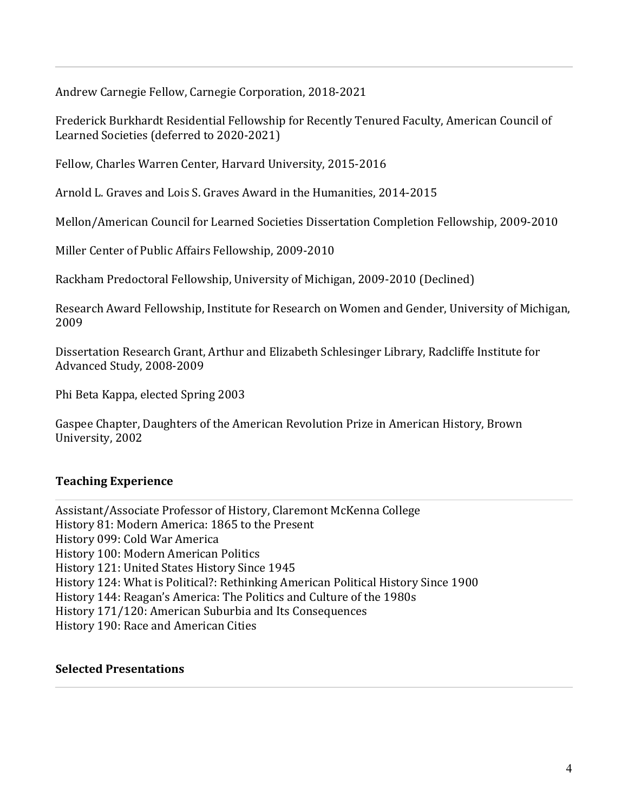Andrew Carnegie Fellow, Carnegie Corporation, 2018-2021

Frederick Burkhardt Residential Fellowship for Recently Tenured Faculty, American Council of Learned Societies (deferred to 2020-2021)

Fellow, Charles Warren Center, Harvard University, 2015-2016

Arnold L. Graves and Lois S. Graves Award in the Humanities, 2014-2015

Mellon/American Council for Learned Societies Dissertation Completion Fellowship, 2009-2010

Miller Center of Public Affairs Fellowship, 2009-2010

Rackham Predoctoral Fellowship, University of Michigan, 2009-2010 (Declined)

Research Award Fellowship, Institute for Research on Women and Gender, University of Michigan, 2009

Dissertation Research Grant, Arthur and Elizabeth Schlesinger Library, Radcliffe Institute for Advanced Study, 2008-2009

Phi Beta Kappa, elected Spring 2003

Gaspee Chapter, Daughters of the American Revolution Prize in American History, Brown University, 2002

# **Teaching Experience**

Assistant/Associate Professor of History, Claremont McKenna College History 81: Modern America: 1865 to the Present History 099: Cold War America History 100: Modern American Politics History 121: United States History Since 1945 History 124: What is Political?: Rethinking American Political History Since 1900 History 144: Reagan's America: The Politics and Culture of the 1980s History 171/120: American Suburbia and Its Consequences History 190: Race and American Cities

### **Selected Presentations**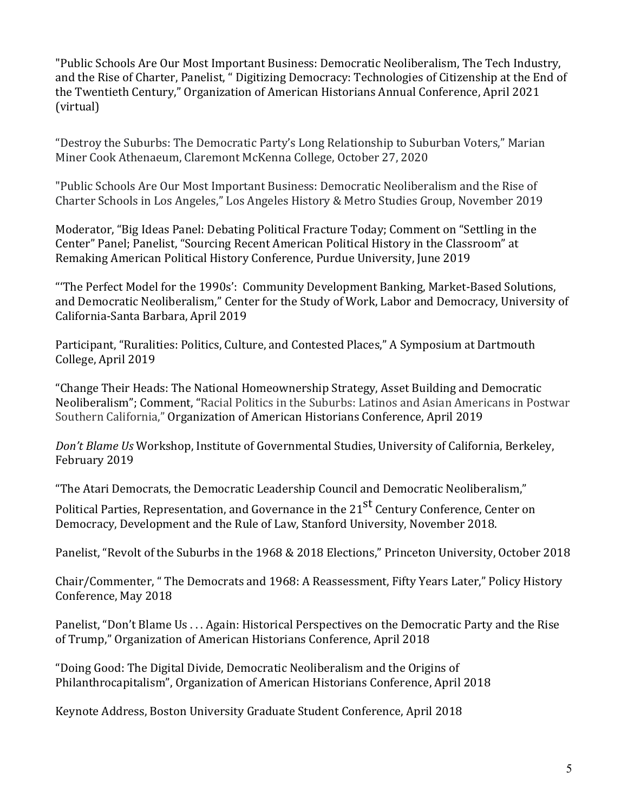"Public Schools Are Our Most Important Business: Democratic Neoliberalism, The Tech Industry, and the Rise of Charter, Panelist, " Digitizing Democracy: Technologies of Citizenship at the End of the Twentieth Century," Organization of American Historians Annual Conference, April 2021 (virtual) 

"Destroy the Suburbs: The Democratic Party's Long Relationship to Suburban Voters," Marian Miner Cook Athenaeum, Claremont McKenna College, October 27, 2020

"Public Schools Are Our Most Important Business: Democratic Neoliberalism and the Rise of Charter Schools in Los Angeles," Los Angeles History & Metro Studies Group, November 2019

Moderator, "Big Ideas Panel: Debating Political Fracture Today; Comment on "Settling in the Center" Panel; Panelist, "Sourcing Recent American Political History in the Classroom" at Remaking American Political History Conference, Purdue University, June 2019

"The Perfect Model for the 1990s': Community Development Banking, Market-Based Solutions, and Democratic Neoliberalism," Center for the Study of Work, Labor and Democracy, University of California-Santa Barbara, April 2019

Participant, "Ruralities: Politics, Culture, and Contested Places," A Symposium at Dartmouth College, April 2019

"Change Their Heads: The National Homeownership Strategy, Asset Building and Democratic Neoliberalism"; Comment, "Racial Politics in the Suburbs: Latinos and Asian Americans in Postwar Southern California," Organization of American Historians Conference, April 2019

*Don't Blame Us* Workshop, Institute of Governmental Studies, University of California, Berkeley, February 2019

"The Atari Democrats, the Democratic Leadership Council and Democratic Neoliberalism,"

Political Parties, Representation, and Governance in the 21<sup>st</sup> Century Conference, Center on Democracy, Development and the Rule of Law, Stanford University, November 2018.

Panelist, "Revolt of the Suburbs in the 1968 & 2018 Elections," Princeton University, October 2018

Chair/Commenter, " The Democrats and 1968: A Reassessment, Fifty Years Later," Policy History Conference, May 2018

Panelist, "Don't Blame Us ... Again: Historical Perspectives on the Democratic Party and the Rise of Trump," Organization of American Historians Conference, April 2018

"Doing Good: The Digital Divide, Democratic Neoliberalism and the Origins of Philanthrocapitalism", Organization of American Historians Conference, April 2018

Keynote Address, Boston University Graduate Student Conference, April 2018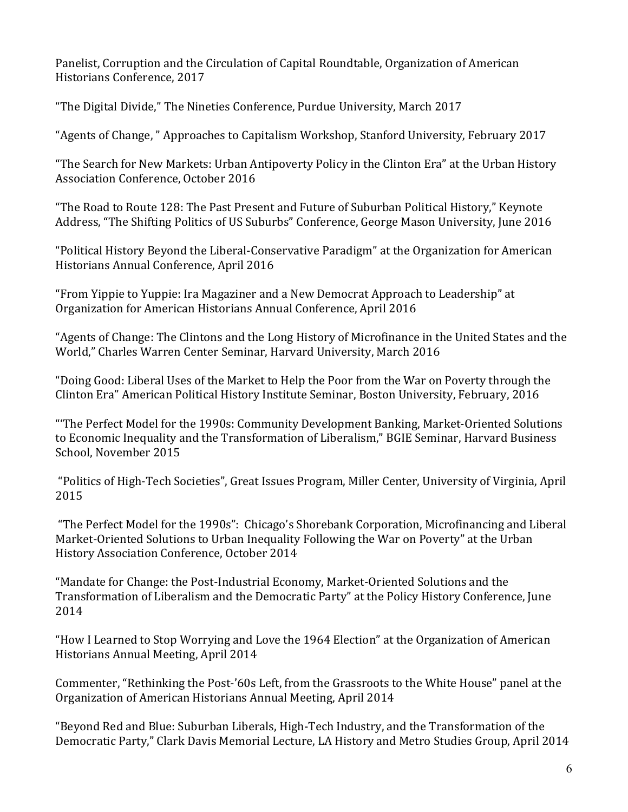Panelist, Corruption and the Circulation of Capital Roundtable, Organization of American Historians Conference, 2017

"The Digital Divide," The Nineties Conference, Purdue University, March 2017

"Agents of Change," Approaches to Capitalism Workshop, Stanford University, February 2017

"The Search for New Markets: Urban Antipoverty Policy in the Clinton Era" at the Urban History Association Conference, October 2016

"The Road to Route 128: The Past Present and Future of Suburban Political History," Keynote Address, "The Shifting Politics of US Suburbs" Conference, George Mason University, June 2016

"Political History Beyond the Liberal-Conservative Paradigm" at the Organization for American Historians Annual Conference, April 2016

"From Yippie to Yuppie: Ira Magaziner and a New Democrat Approach to Leadership" at Organization for American Historians Annual Conference, April 2016

"Agents of Change: The Clintons and the Long History of Microfinance in the United States and the World," Charles Warren Center Seminar, Harvard University, March 2016

"Doing Good: Liberal Uses of the Market to Help the Poor from the War on Poverty through the Clinton Era" American Political History Institute Seminar, Boston University, February, 2016

"The Perfect Model for the 1990s: Community Development Banking, Market-Oriented Solutions to Economic Inequality and the Transformation of Liberalism," BGIE Seminar, Harvard Business School, November 2015

"Politics of High-Tech Societies", Great Issues Program, Miller Center, University of Virginia, April 2015

"The Perfect Model for the 1990s": Chicago's Shorebank Corporation, Microfinancing and Liberal Market-Oriented Solutions to Urban Inequality Following the War on Poverty" at the Urban History Association Conference, October 2014

"Mandate for Change: the Post-Industrial Economy, Market-Oriented Solutions and the Transformation of Liberalism and the Democratic Party" at the Policy History Conference, June 2014

"How I Learned to Stop Worrying and Love the 1964 Election" at the Organization of American Historians Annual Meeting, April 2014

Commenter, "Rethinking the Post-'60s Left, from the Grassroots to the White House" panel at the Organization of American Historians Annual Meeting, April 2014

"Beyond Red and Blue: Suburban Liberals, High-Tech Industry, and the Transformation of the Democratic Party," Clark Davis Memorial Lecture, LA History and Metro Studies Group, April 2014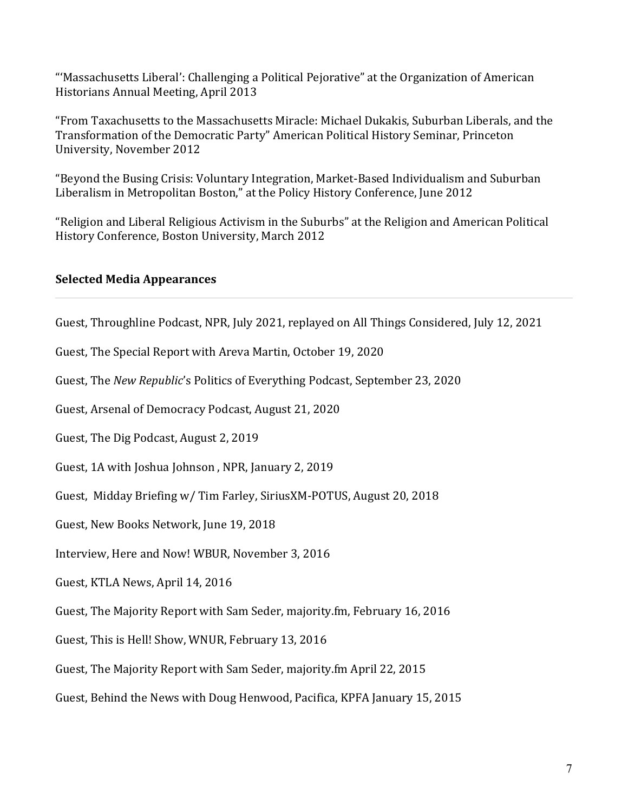"'Massachusetts Liberal': Challenging a Political Pejorative" at the Organization of American Historians Annual Meeting, April 2013

"From Taxachusetts to the Massachusetts Miracle: Michael Dukakis, Suburban Liberals, and the Transformation of the Democratic Party" American Political History Seminar, Princeton University, November 2012

"Beyond the Busing Crisis: Voluntary Integration, Market-Based Individualism and Suburban Liberalism in Metropolitan Boston," at the Policy History Conference, June 2012

"Religion and Liberal Religious Activism in the Suburbs" at the Religion and American Political History Conference, Boston University, March 2012

### **Selected Media Appearances**

Guest, Throughline Podcast, NPR, July 2021, replayed on All Things Considered, July 12, 2021

Guest, The Special Report with Areva Martin, October 19, 2020

Guest, The *New Republic's* Politics of Everything Podcast, September 23, 2020

Guest, Arsenal of Democracy Podcast, August 21, 2020

Guest, The Dig Podcast, August 2, 2019

Guest, 1A with Joshua Johnson, NPR, January 2, 2019

Guest, Midday Briefing w/ Tim Farley, SiriusXM-POTUS, August 20, 2018

Guest, New Books Network, June 19, 2018

Interview, Here and Now! WBUR, November 3, 2016

Guest, KTLA News, April 14, 2016

Guest, The Majority Report with Sam Seder, majority.fm, February 16, 2016

Guest, This is Hell! Show, WNUR, February 13, 2016

Guest, The Majority Report with Sam Seder, majority.fm April 22, 2015

Guest, Behind the News with Doug Henwood, Pacifica, KPFA January 15, 2015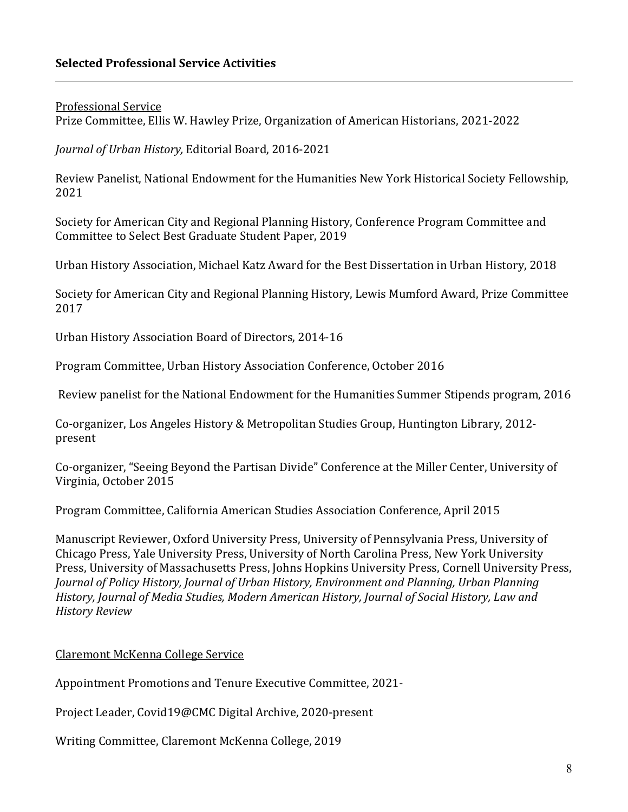### **Selected Professional Service Activities**

**Professional Service** 

Prize Committee, Ellis W. Hawley Prize, Organization of American Historians, 2021-2022

*Journal of Urban History, Editorial Board, 2016-2021* 

Review Panelist, National Endowment for the Humanities New York Historical Society Fellowship, 2021

Society for American City and Regional Planning History, Conference Program Committee and Committee to Select Best Graduate Student Paper, 2019

Urban History Association, Michael Katz Award for the Best Dissertation in Urban History, 2018

Society for American City and Regional Planning History, Lewis Mumford Award, Prize Committee 2017

Urban History Association Board of Directors, 2014-16

Program Committee, Urban History Association Conference, October 2016

Review panelist for the National Endowment for the Humanities Summer Stipends program, 2016

Co-organizer, Los Angeles History & Metropolitan Studies Group, Huntington Library, 2012present

Co-organizer, "Seeing Beyond the Partisan Divide" Conference at the Miller Center, University of Virginia, October 2015

Program Committee, California American Studies Association Conference, April 2015

Manuscript Reviewer, Oxford University Press, University of Pennsylvania Press, University of Chicago Press, Yale University Press, University of North Carolina Press, New York University Press, University of Massachusetts Press, Johns Hopkins University Press, Cornell University Press, *Journal of Policy History, Journal of Urban History, Environment and Planning, Urban Planning* History, Journal of Media Studies, Modern American History, Journal of Social History, Law and *History Review* 

#### Claremont McKenna College Service

Appointment Promotions and Tenure Executive Committee, 2021-

Project Leader, Covid19@CMC Digital Archive, 2020-present

Writing Committee, Claremont McKenna College, 2019